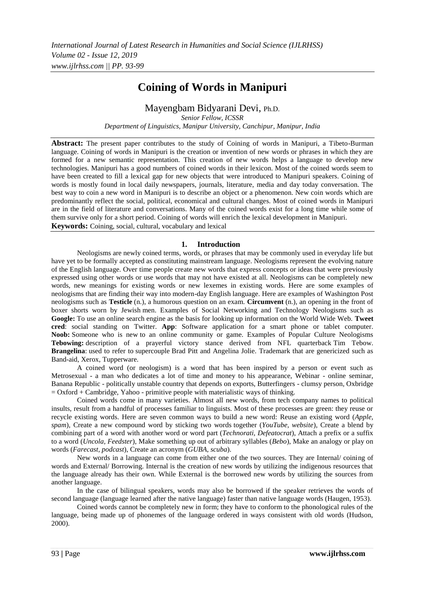# **Coining of Words in Manipuri**

# Mayengbam Bidyarani Devi, Ph.D.

*Senior Fellow, ICSSR Department of Linguistics, Manipur University, Canchipur, Manipur, India*

**Abstract:** The present paper contributes to the study of Coining of words in Manipuri, a Tibeto-Burman language. Coining of words in Manipuri is the creation or invention of new words or phrases in which they are formed for a new semantic representation. This creation of new words helps a language to develop new technologies. Manipuri has a good numbers of coined words in their lexicon. Most of the coined words seem to have been created to fill a lexical gap for new objects that were introduced to Manipuri speakers. Coining of words is mostly found in local daily newspapers, journals, literature, media and day today conversation. The best way to coin a new word in Manipuri is to describe an object or a phenomenon. New coin words which are predominantly reflect the social, political, economical and cultural changes. Most of coined words in Manipuri are in the field of literature and conversations. Many of the coined words exist for a long time while some of them survive only for a short period. Coining of words will enrich the lexical development in Manipuri. **Keywords:** Coining, social, cultural, vocabulary and lexical

# **1. Introduction**

Neologisms are newly coined terms, words, or phrases that may be commonly used in everyday life but have yet to be formally accepted as constituting mainstream language. Neologisms represent the evolving nature of the English language. Over time people create new words that express concepts or ideas that were previously expressed using other words or use words that may not have existed at all. Neologisms can be completely new words, new meanings for existing words or new lexemes in existing words. Here are some examples of neologisms that are finding their way into modern-day English language. Here are examples of Washington Post neologisms such as **Testicle** (n.), a humorous question on an exam. **Circumvent** (n.), an opening in the front of boxer shorts worn by Jewish men. Examples of Social Networking and Technology Neologisms such as **Google:** To use an online search engine as the basis for looking up information on the World Wide Web. **Tweet cred**: social standing on Twitter. **App**: Software application for a smart phone or tablet computer. **Noob:** Someone who is new to an online community or game. Examples of Popular Culture Neologisms **Tebowing:** description of a prayerful victory stance derived from NFL quarterback Tim Tebow. **Brangelina**: used to refer to supercouple Brad Pitt and Angelina Jolie. Trademark that are genericized such as Band-aid, Xerox, Tupperware.

A coined word (or neologism) is a word that has been inspired by a person or event such as Metrosexual - a man who dedicates a lot of time and money to his appearance, Webinar - online seminar, Banana Republic - politically unstable country that depends on exports, Butterfingers - clumsy person, Oxbridge = Oxford + Cambridge, Yahoo - primitive people with materialistic ways of thinking.

Coined words come in many varieties. Almost all new words, from tech company names to political insults, result from a handful of processes familiar to linguists. Most of these processes are green: they reuse or recycle existing words. Here are seven common ways to build a new word: Reuse an existing word (*Apple, spam*), Create a new compound word by sticking two words together (*YouTube, website*), Create a blend by combining part of a word with another word or word part (*Technorati, Defeatocrat*), Attach a prefix or a suffix to a word (*Uncola, Feedster*), Make something up out of arbitrary syllables (*Bebo*), Make an analogy or play on words (*Farecast, podcast*), Create an acronym (*GUBA, scuba*).

New words in a language can come from either one of the two sources. They are Internal/ coining of words and External/ Borrowing. Internal is the creation of new words by utilizing the indigenous resources that the language already has their own. While External is the borrowed new words by utilizing the sources from another language.

In the case of bilingual speakers, words may also be borrowed if the speaker retrieves the words of second language (language learned after the native language) faster than native language words (Haugen, 1953).

Coined words cannot be completely new in form; they have to conform to the phonological rules of the language, being made up of phonemes of the language ordered in ways consistent with old words (Hudson, 2000).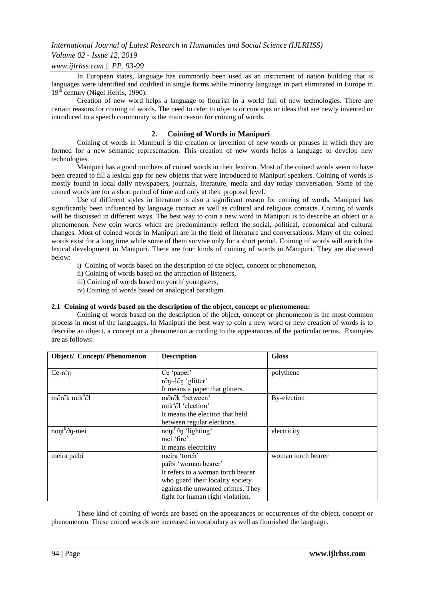# *Volume 02 - Issue 12, 2019*

# *www.ijlrhss.com || PP. 93-99*

In European states, language has commonly been used as an instrument of nation building that is languages were identified and codified in single forms while minority language in part eliminated in Europe in 19<sup>th</sup> century (Nigel Herris, 1990).

Creation of new word helps a language to flourish in a world full of new technologies. There are certain reasons for coining of words. The need to refer to objects or concepts or ideas that are newly invented or introduced to a speech community is the main reason for coining of words.

# **2. Coining of Words in Manipuri**

Coining of words in Manipuri is the creation or invention of new words or phrases in which they are formed for a new semantic representation. This creation of new words helps a language to develop new technologies.

Manipuri has a good numbers of coined words in their lexicon. Most of the coined words seem to have been created to fill a lexical gap for new objects that were introduced to Manipuri speakers. Coining of words is mostly found in local daily newspapers, journals, literature, media and day today conversation. Some of the coined words are for a short period of time and only at their proposal level.

Use of different styles in literature is also a significant reason for coining of words. Manipuri has significantly been influenced by language contact as well as cultural and religious contacts. Coining of words will be discussed in different ways. The best way to coin a new word in Manipuri is to describe an object or a phenomenon. New coin words which are predominantly reflect the social, political, economical and cultural changes. Most of coined words in Manipuri are in the field of literature and conversations. Many of the coined words exist for a long time while some of them survive only for a short period. Coining of words will enrich the lexical development in Manipuri. There are four kinds of coining of words in Manipuri. They are discussed below:

i) Coining of words based on the description of the object, concept or phenomenon,

- ii) Coining of words based on the attraction of listeners,
- iii) Coining of words based on youth/ youngsters,
- iv) Coining of words based on analogical paradigm.

#### **2.1 Coining of words based on the description of the object, concept or phenomenon:**

Coining of words based on the description of the object, concept or phenomenon is the most common process in most of the languages. In Manipuri the best way to coin a new word or new creation of words is to describe an object, a concept or a phenomenon according to the appearances of the particular terms. Examples are as follows:

| <b>Object/ Concept/Phenomenon</b>                     | <b>Description</b>                          | <b>Gloss</b>       |
|-------------------------------------------------------|---------------------------------------------|--------------------|
| $Ce-r\partial\eta$                                    | Ce 'paper'                                  | polythene          |
|                                                       | $r\partial\eta$ ~ $l\partial\eta$ 'glitter' |                    |
|                                                       | It means a paper that glitters.             |                    |
| $m\partial r\partial k$ mik <sup>h</sup> $\partial l$ | $m\partial r\partial k$ 'between'           | By-election        |
|                                                       | mik $h$ <sup>2</sup> l 'election'           |                    |
|                                                       | It means the election that held             |                    |
|                                                       | between regular elections.                  |                    |
| $n$ ont <sup>h</sup> $\partial$ n-mei                 | nont <sup>h</sup> $\partial$ n 'lighting'   | electricity        |
|                                                       | mei 'fire'                                  |                    |
|                                                       | It means electricity                        |                    |
| meira paibi                                           | meira 'torch'                               | woman torch bearer |
|                                                       | paibi 'woman bearer'                        |                    |
|                                                       | It refers to a woman torch bearer           |                    |
|                                                       | who guard their locality society            |                    |
|                                                       | against the unwanted crimes. They           |                    |
|                                                       | fight for human right violation.            |                    |

These kind of coining of words are based on the appearances or occurrences of the object, concept or phenomenon. These coined words are increased in vocabulary as well as flourished the language.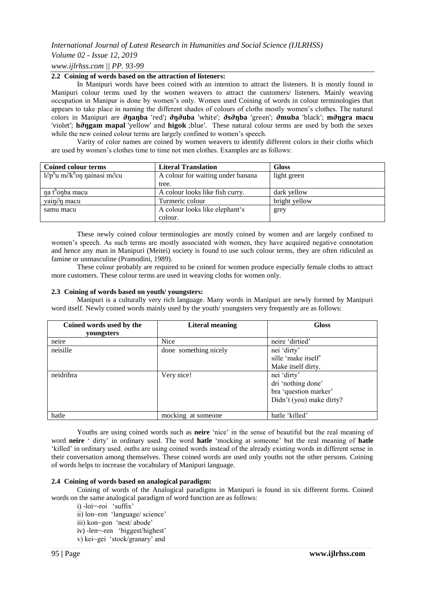# *Volume 02 - Issue 12, 2019*

# *www.ijlrhss.com || PP. 93-99*

# **2.2 Coining of words based on the attraction of listeners:**

In Manipuri words have been coined with an intention to attract the listeners. It is mostly found in Manipuri colour terms used by the women weavers to attract the customers/ listeners. Mainly weaving occupation in Manipur is done by women's only. Women used Coining of words in colour terminologies that appears to take place in naming the different shades of colours of cloths mostly women's clothes. The natural colors in Manipuri are **∂ŋaŋba** 'red'**; ∂ŋ∂uba** 'white'; **∂s∂ŋba** 'green'; **∂muba** 'black'; **m∂ŋgra macu** 'violet'; **h∂ŋgam mapal** 'yellow' and **higok** ;blue'. These natural colour terms are used by both the sexes while the new coined colour terms are largely confined to women's speech.

Varity of color names are coined by women weavers to identify different colors in their cloths which are used by women's clothes time to time not men clothes. Examples are as follows:

| Coined colour terms                                           | <b>Literal Translation</b>        | <b>Gloss</b>  |
|---------------------------------------------------------------|-----------------------------------|---------------|
| $1\partial p^h$ u m $\partial k^h$ on nainasi m $\partial cu$ | A colour for waiting under banana | light green   |
|                                                               | tree.                             |               |
| na t <sup>h</sup> onba macu                                   | A colour looks like fish curry.   | dark yellow   |
| yain $\partial$ n macu                                        | Turmeric colour                   | bright yellow |
| samu macu                                                     | A colour looks like elephant's    | grey          |
|                                                               | colour.                           |               |

These newly coined colour terminologies are mostly coined by women and are largely confined to women's speech. As such terms are mostly associated with women, they have acquired negative connotation and hence any man in Manipuri (Meitei) society is found to use such colour terms, they are often ridiculed as famine or unmasculine (Pramodini, 1989).

These colour probably are required to be coined for women produce especially female cloths to attract more customers. These colour terms are used in weaving cloths for women only.

#### **2.3 Coining of words based on youth/ youngsters:**

Manipuri is a culturally very rich language. Many words in Manipuri are newly formed by Manipuri word itself. Newly coined words mainly used by the youth/ youngsters very frequently are as follows:

| Coined words used by the | <b>Literal meaning</b> | <b>Gloss</b>             |
|--------------------------|------------------------|--------------------------|
| youngsters               |                        |                          |
| neire                    | <b>Nice</b>            | neire 'dirtied'          |
| neisille                 | done something nicely  | nei 'dirty'              |
|                          |                        | sille 'make itself'      |
|                          |                        | Make itself dirty.       |
| neidribra                | Very nice!             | nei 'dirty'              |
|                          |                        | dri 'nothing done'       |
|                          |                        | bra 'question marker'    |
|                          |                        | Didn't (you) make dirty? |
|                          |                        |                          |
| hatle                    | mocking at someone     | hatle 'killed'           |

Youths are using coined words such as **neire** 'nice' in the sense of beautiful but the real meaning of word **neire** ' dirty' in ordinary used. The word **hatle** 'mocking at someone' but the real meaning of **hatle** 'killed' in ordinary used. ouths are using coined words instead of the already existing words in different sense in their conversation among themselves. These coined words are used only youths not the other persons. Coining of words helps to increase the vocabulary of Manipuri language.

#### **2.4 Coining of words based on analogical paradigm:**

Coining of words of the Analogical paradigms in Manipuri is found in six different forms. Coined words on the same analogical paradigm of word function are as follows:

i) -loi~-roi 'suffix'

ii) lon~ron 'language/ science'

- iii) kon~gon 'nest/ abode'
- iv) -len~-ren 'biggest/highest'
- v) kei~gei 'stock/granary' and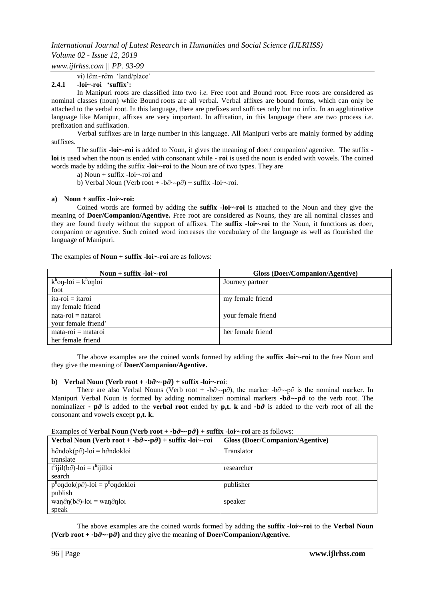# *Volume 02 - Issue 12, 2019*

*www.ijlrhss.com || PP. 93-99*

vi) l∂m~r∂m 'land/place'

#### **2.4.1 -loi~-roi "suffix":**

In Manipuri roots are classified into two *i.e.* Free root and Bound root. Free roots are considered as nominal classes (noun) while Bound roots are all verbal. Verbal affixes are bound forms, which can only be attached to the verbal root. In this language, there are prefixes and suffixes only but no infix. In an agglutinative language like Manipur, affixes are very important. In affixation, in this language there are two process *i.e.* prefixation and suffixation.

Verbal suffixes are in large number in this language. All Manipuri verbs are mainly formed by adding suffixes.

The suffix **-loi~-roi** is added to Noun, it gives the meaning of doer/ companion/ agentive. The suffix  **loi** is used when the noun is ended with consonant while **- roi** is used the noun is ended with vowels. The coined words made by adding the suffix **-loi~-roi** to the Noun are of two types. They are

a) Noun + suffix -loi~-roi and

b) Verbal Noun (Verb root + -b∂~-p∂) + suffix -loi~-roi.

#### **a) Noun + suffix -loi~-roi:**

Coined words are formed by adding the **suffix -loi~-roi** is attached to the Noun and they give the meaning of **Doer/Companion/Agentive.** Free root are considered as Nouns, they are all nominal classes and they are found freely without the support of affixes. The **suffix -loi~-roi** to the Noun, it functions as doer, companion or agentive. Such coined word increases the vocabulary of the language as well as flourished the language of Manipuri.

The examples of **Noun + suffix -loi~-roi** are as follows:

| Noun $+$ suffix -loi~-roi              | <b>Gloss (Doer/Companion/Agentive)</b> |
|----------------------------------------|----------------------------------------|
| $k^{\rm h}$ on-loi = $k^{\rm h}$ onloi | Journey partner                        |
| foot                                   |                                        |
| $ita-roi = itaroi$                     | my female friend                       |
| my female friend                       |                                        |
| $nata-roi = nataroi$                   | your female friend                     |
| your female friend'                    |                                        |
| $mata-roi = mataroi$                   | her female friend                      |
| her female friend                      |                                        |

The above examples are the coined words formed by adding the **suffix -loi~-roi** to the free Noun and they give the meaning of **Doer/Companion/Agentive.** 

#### **b)** Verbal Noun (Verb root  $+$  -b $\partial \sim$ -p $\partial$ ) + suffix -loi $\sim$ -roi:

There are also Verbal Nouns (Verb root + -b∂  $\sim$ -p∂), the marker -b∂ $\sim$ -p∂ is the nominal marker. In Manipuri Verbal Noun is formed by adding nominalizer/ nominal markers **-b∂~-p∂** to the verb root. The nominalizer **- p∂** is added to the **verbal root** ended by **p,t. k** and **-b∂** is added to the verb root of all the consonant and vowels except **p,t. k.**

#### Examples of **Verbal Noun (Verb root + -b∂~-p∂) + suffix -loi~-roi** are as follows:

| Verbal Noun (Verb root + $-b\partial \sim p\partial$ ) + suffix -loi~-roi | Gloss (Doer/Companion/Agentive) |
|---------------------------------------------------------------------------|---------------------------------|
| $h\partial$ ndok(p $\partial$ )-loi = h $\partial$ ndokloi                | <b>Translator</b>               |
| translate                                                                 |                                 |
| $t^{\text{h}}$ ijil(b $\partial$ )-loi = $t^{\text{h}}$ ijilloi           | researcher                      |
| search                                                                    |                                 |
| $p^{n}$ ondok(p $\partial$ )-loi = p <sup>h</sup> ondokloi                | publisher                       |
| publish                                                                   |                                 |
| wan $\partial$ n(b $\partial$ )-loi = wan $\partial$ nloi                 | speaker                         |
| speak                                                                     |                                 |

The above examples are the coined words formed by adding the **suffix -loi~-roi** to the **Verbal Noun (Verb root + -b∂~-p∂)** and they give the meaning of **Doer/Companion/Agentive.**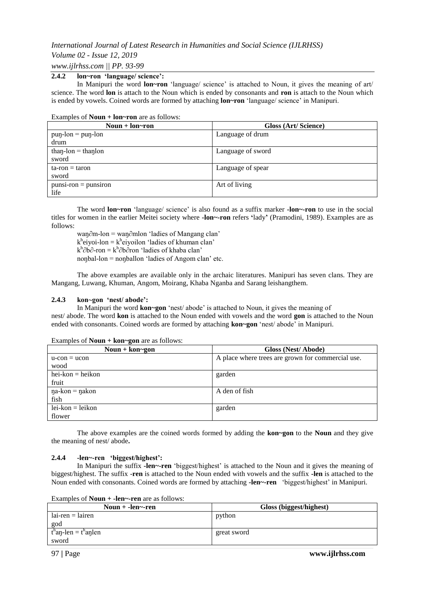# *Volume 02 - Issue 12, 2019*

*www.ijlrhss.com || PP. 93-99*

# **2.4.2 lon~ron "language/ science":**

In Manipuri the word **lon~ron** 'language/ science' is attached to Noun, it gives the meaning of art/ science. The word **lon** is attach to the Noun which is ended by consonants and **ron** is attach to the Noun which is ended by vowels. Coined words are formed by attaching **lon~ron** 'language/ science' in Manipuri.

#### Examples of **Noun + lon~ron** are as follows:

| Noun + $lon$ ~ron       | Gloss (Art/Science) |
|-------------------------|---------------------|
| $p$ un-lon = $p$ un-lon | Language of drum    |
| drum                    |                     |
| $than$ -lon = than lon  | Language of sword   |
| sword                   |                     |
| $tan = tan$             | Language of spear   |
| sword                   |                     |
| $punsi-ron = punsiron$  | Art of living       |
| life                    |                     |

The word **lon~ron** 'language/ science' is also found as a suffix marker **-lon~-ron** to use in the social titles for women in the earlier Meitei society where **-lon~-ron** refers **"**lady**"** (Pramodini, 1989). Examples are as follows:

waŋ∂m-lon = waŋ∂mlon 'ladies of Mangang clan'  $k<sup>h</sup>$ eiyoi-lon =  $k<sup>h</sup>$ eiyoilon 'ladies of khuman clan' k<sup>h</sup>∂b∂-ron = k<sup>h</sup>∂b∂ron 'ladies of khaba clan' noŋbal-lon = noŋballon 'ladies of Angom clan' etc.

The above examples are available only in the archaic literatures. Manipuri has seven clans. They are Mangang, Luwang, Khuman, Angom, Moirang, Khaba Nganba and Sarang leishangthem.

# **2.4.3 kon~gon "nest/ abode":**

In Manipuri the word **kon~gon** 'nest/ abode' is attached to Noun, it gives the meaning of nest/ abode. The word **kon** is attached to the Noun ended with vowels and the word **gon** is attached to the Noun ended with consonants. Coined words are formed by attaching **kon~gon** 'nest/ abode' in Manipuri.

| Noun + $kon \sim$ gon      | Gloss (Nest/Abode)                                |
|----------------------------|---------------------------------------------------|
| $u$ -con = $ucon$          | A place where trees are grown for commercial use. |
| wood                       |                                                   |
| $hei-kon = heikon$         | garden                                            |
| fruit                      |                                                   |
| $\eta$ a-kon = $\eta$ akon | A den of fish                                     |
| fish                       |                                                   |
| $lei-kon = leikon$         | garden                                            |
| flower                     |                                                   |

Examples of **Noun + kon~gon** are as follows:

The above examples are the coined words formed by adding the **kon~gon** to the **Noun** and they give the meaning of nest/ abode**.** 

# **2.4.4 -len~-ren "biggest/highest":**

In Manipuri the suffix **-len~-ren** 'biggest/highest' is attached to the Noun and it gives the meaning of biggest/highest. The suffix -**ren** is attached to the Noun ended with vowels and the suffix **-len** is attached to the Noun ended with consonants. Coined words are formed by attaching **-len~-ren** 'biggest/highest' in Manipuri.

Examples of **Noun + -len~-ren** are as follows:

| Noun $+$ -len $\sim$ -ren | Gloss (biggest/highest) |
|---------------------------|-------------------------|
| $lai$ -ren = lairen       | python                  |
| god                       |                         |
| $th$ an-len = $th$ anlen  | great sword             |
| sword                     |                         |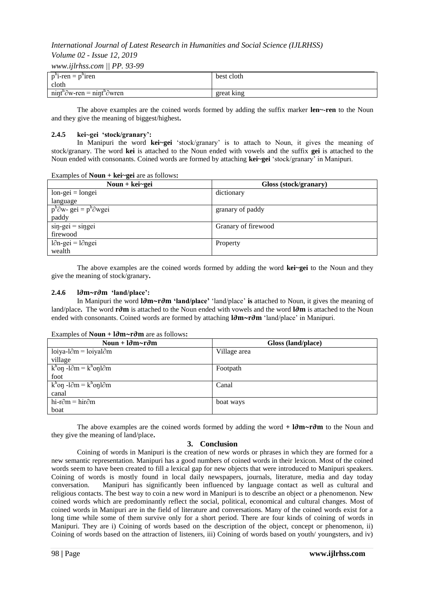# *Volume 02 - Issue 12, 2019*

*www.ijlrhss.com || PP. 93-99*

| $p^h$ i-ren = $p^h$ iren                                           | best cloth |
|--------------------------------------------------------------------|------------|
| cloth                                                              |            |
| $\text{min}t^{h}\partial w$ -ren = $\text{min}t^{h}\partial w$ ren | great king |

The above examples are the coined words formed by adding the suffix marker **len~-ren** to the Noun and they give the meaning of biggest/highest**.** 

### **2.4.5 kei~gei "stock/granary":**

In Manipuri the word **kei~gei** 'stock/granary' is to attach to Noun, it gives the meaning of stock/granary. The word **kei** is attached to the Noun ended with vowels and the suffix **gei** is attached to the Noun ended with consonants. Coined words are formed by attaching **kei~gei** 'stock/granary' in Manipuri.

| Noun + $kei$ -gei                               | Gloss (stock/granary) |
|-------------------------------------------------|-----------------------|
| $lon\text{-}gei = longei$                       | dictionary            |
| language                                        |                       |
| $p^{h}\partial w$ - gei = $p^{h}\partial w$ gei | granary of paddy      |
| paddy                                           |                       |
| $\sin$ -gei = singei                            | Granary of firewood   |
| firewood                                        |                       |
| $l\partial n$ -gei = $l\partial n$ gei          | Property              |
| wealth                                          |                       |

The above examples are the coined words formed by adding the word **kei~gei** to the Noun and they give the meaning of stock/granary**.**

### **2.4.6 l∂m~r∂m "land/place":**

In Manipuri the word **l∂m~r∂m "land/place"** 'land/place' **is** attached to Noun, it gives the meaning of land/place**.** The word **r∂m** is attached to the Noun ended with vowels and the word **l∂m** is attached to the Noun ended with consonants. Coined words are formed by attaching **l∂m~r∂m** 'land/place' in Manipuri.

| Noun + $l\partial m \sim r\partial m$                         | Gloss (land/place) |
|---------------------------------------------------------------|--------------------|
| $loiya-l∂m = loiyal∂m$                                        | Village area       |
| village                                                       |                    |
| $k^{\rm h}$ on -l $\partial$ m = $k^{\rm h}$ onl $\partial$ m | Footpath           |
| foot                                                          |                    |
| $k^{\rm h}$ on -l $\partial$ m = $k^{\rm h}$ onl $\partial$ m | Canal              |
| canal                                                         |                    |
| hi-r $\partial$ m = hir $\partial$ m                          | boat ways          |
| boat                                                          |                    |

#### Examples of **Noun + l∂m~r∂m** are as follows**:**

The above examples are the coined words formed by adding the word **+ l∂m~r∂m** to the Noun and they give the meaning of land/place**.** 

# **3. Conclusion**

Coining of words in Manipuri is the creation of new words or phrases in which they are formed for a new semantic representation. Manipuri has a good numbers of coined words in their lexicon. Most of the coined words seem to have been created to fill a lexical gap for new objects that were introduced to Manipuri speakers. Coining of words is mostly found in local daily newspapers, journals, literature, media and day today conversation. Manipuri has significantly been influenced by language contact as well as cultural and religious contacts. The best way to coin a new word in Manipuri is to describe an object or a phenomenon. New coined words which are predominantly reflect the social, political, economical and cultural changes. Most of coined words in Manipuri are in the field of literature and conversations. Many of the coined words exist for a long time while some of them survive only for a short period. There are four kinds of coining of words in Manipuri. They are i) Coining of words based on the description of the object, concept or phenomenon, ii) Coining of words based on the attraction of listeners, iii) Coining of words based on youth/ youngsters, and iv)